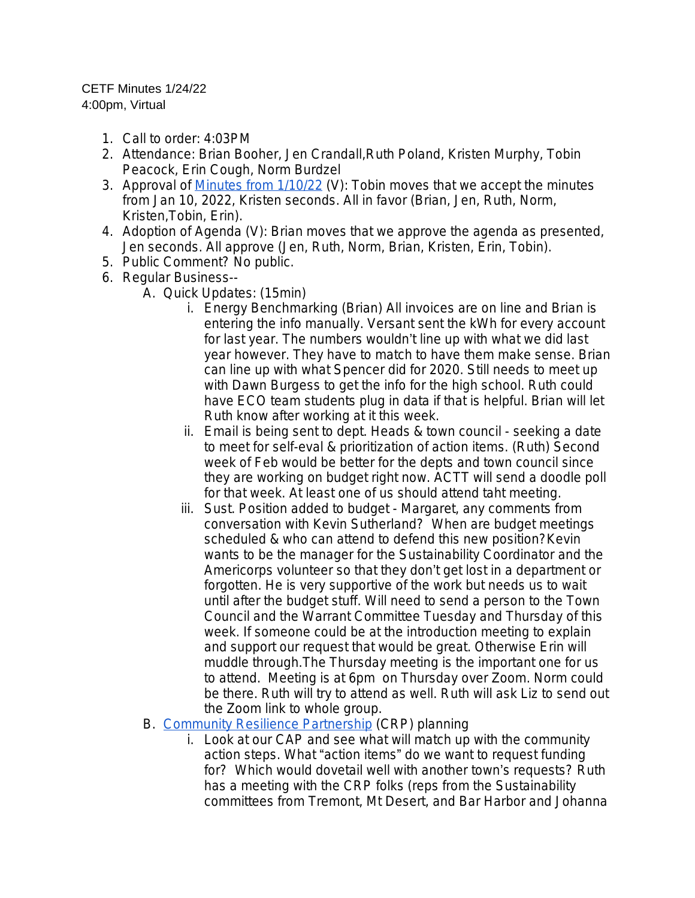## CETF Minutes 1/24/22 4:00pm, Virtual

- 1. Call to order: 4:03PM
- 2. Attendance: Brian Booher, Jen Crandall,Ruth Poland, Kristen Murphy, Tobin Peacock, Erin Cough, Norm Burdzel
- 3. Approval of [Minutes from 1/10/22](https://docs.google.com/document/d/1jvlFM9JadVxunFCf7O4bRgqh9whTzOW2svggyK8_kpc/edit) (V): Tobin moves that we accept the minutes from Jan 10, 2022, Kristen seconds. All in favor (Brian, Jen, Ruth, Norm, Kristen,Tobin, Erin).
- 4. Adoption of Agenda (V): Brian moves that we approve the agenda as presented, Jen seconds. All approve (Jen, Ruth, Norm, Brian, Kristen, Erin, Tobin).
- 5. Public Comment? No public.
- 6. Regular Business--
	- A. Quick Updates: (15min)
		- i. Energy Benchmarking (Brian) All invoices are on line and Brian is entering the info manually. Versant sent the kWh for every account for last year. The numbers wouldn't line up with what we did last year however. They have to match to have them make sense. Brian can line up with what Spencer did for 2020. Still needs to meet up with Dawn Burgess to get the info for the high school. Ruth could have ECO team students plug in data if that is helpful. Brian will let Ruth know after working at it this week.
		- ii. Email is being sent to dept. Heads & town council seeking a date to meet for self-eval & prioritization of action items. (Ruth) Second week of Feb would be better for the depts and town council since they are working on budget right now. ACTT will send a doodle poll for that week. At least one of us should attend taht meeting.
		- iii. Sust. Position added to budget Margaret, any comments from conversation with Kevin Sutherland? When are budget meetings scheduled & who can attend to defend this new position?Kevin wants to be the manager for the Sustainability Coordinator and the Americorps volunteer so that they don't get lost in a department or forgotten. He is very supportive of the work but needs us to wait until after the budget stuff. Will need to send a person to the Town Council and the Warrant Committee Tuesday and Thursday of this week. If someone could be at the introduction meeting to explain and support our request that would be great. Otherwise Erin will muddle through.The Thursday meeting is the important one for us to attend. Meeting is at 6pm on Thursday over Zoom. Norm could be there. Ruth will try to attend as well. Ruth will ask Liz to send out the Zoom link to whole group.
	- B. [Community Resilience Partnership](https://www.maine.gov/future/climate/community-resilience-partnership) (CRP) planning
		- i. Look at our CAP and see what will match up with the community action steps. What "action items" do we want to request funding for? Which would dovetail well with another town's requests? Ruth has a meeting with the CRP folks (reps from the Sustainability committees from Tremont, Mt Desert, and Bar Harbor and Johanna